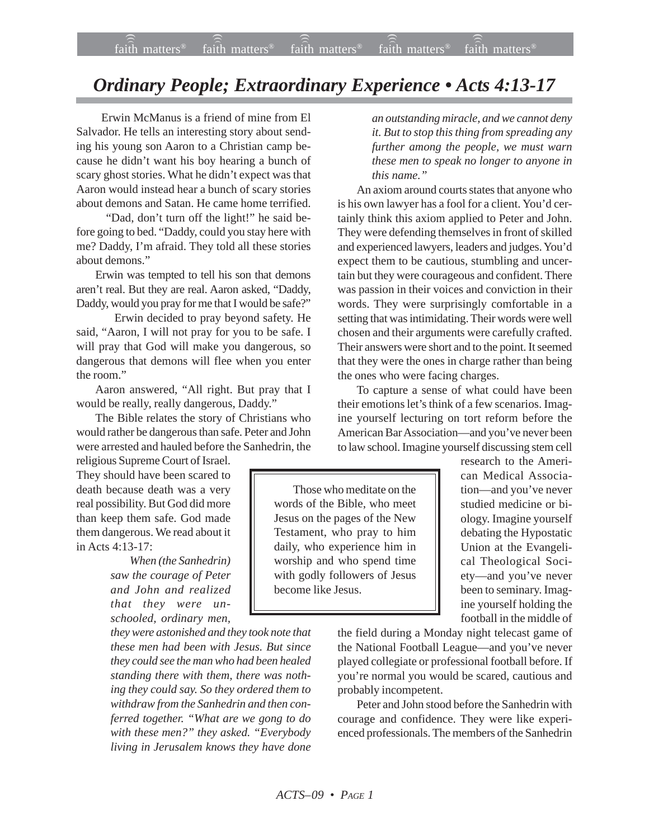## *Ordinary People; Extraordinary Experience • Acts 4:13-17*

 Erwin McManus is a friend of mine from El Salvador. He tells an interesting story about sending his young son Aaron to a Christian camp because he didn't want his boy hearing a bunch of scary ghost stories. What he didn't expect was that Aaron would instead hear a bunch of scary stories about demons and Satan. He came home terrified.

 "Dad, don't turn off the light!" he said before going to bed. "Daddy, could you stay here with me? Daddy, I'm afraid. They told all these stories about demons."

Erwin was tempted to tell his son that demons aren't real. But they are real. Aaron asked, "Daddy, Daddy, would you pray for me that I would be safe?"

Erwin decided to pray beyond safety. He said, "Aaron, I will not pray for you to be safe. I will pray that God will make you dangerous, so dangerous that demons will flee when you enter the room."

Aaron answered, "All right. But pray that I would be really, really dangerous, Daddy."

The Bible relates the story of Christians who would rather be dangerous than safe. Peter and John were arrested and hauled before the Sanhedrin, the

religious Supreme Court of Israel. They should have been scared to death because death was a very real possibility. But God did more than keep them safe. God made them dangerous. We read about it in Acts 4:13-17:

> *When (the Sanhedrin) saw the courage of Peter and John and realized that they were unschooled, ordinary men,*

*they were astonished and they took note that these men had been with Jesus. But since they could see the man who had been healed standing there with them, there was nothing they could say. So they ordered them to withdraw from the Sanhedrin and then conferred together. "What are we gong to do with these men?" they asked. "Everybody living in Jerusalem knows they have done*

*an outstanding miracle, and we cannot deny it. But to stop this thing from spreading any further among the people, we must warn these men to speak no longer to anyone in this name."*

An axiom around courts states that anyone who is his own lawyer has a fool for a client. You'd certainly think this axiom applied to Peter and John. They were defending themselves in front of skilled and experienced lawyers, leaders and judges. You'd expect them to be cautious, stumbling and uncertain but they were courageous and confident. There was passion in their voices and conviction in their words. They were surprisingly comfortable in a setting that was intimidating. Their words were well chosen and their arguments were carefully crafted. Their answers were short and to the point. It seemed that they were the ones in charge rather than being the ones who were facing charges.

To capture a sense of what could have been their emotions let's think of a few scenarios. Imagine yourself lecturing on tort reform before the American Bar Association—and you've never been to law school. Imagine yourself discussing stem cell

Those who meditate on the words of the Bible, who meet Jesus on the pages of the New Testament, who pray to him daily, who experience him in worship and who spend time with godly followers of Jesus become like Jesus.

research to the American Medical Association—and you've never studied medicine or biology. Imagine yourself debating the Hypostatic Union at the Evangelical Theological Society—and you've never been to seminary. Imagine yourself holding the football in the middle of

the field during a Monday night telecast game of the National Football League—and you've never played collegiate or professional football before. If you're normal you would be scared, cautious and probably incompetent.

Peter and John stood before the Sanhedrin with courage and confidence. They were like experienced professionals. The members of the Sanhedrin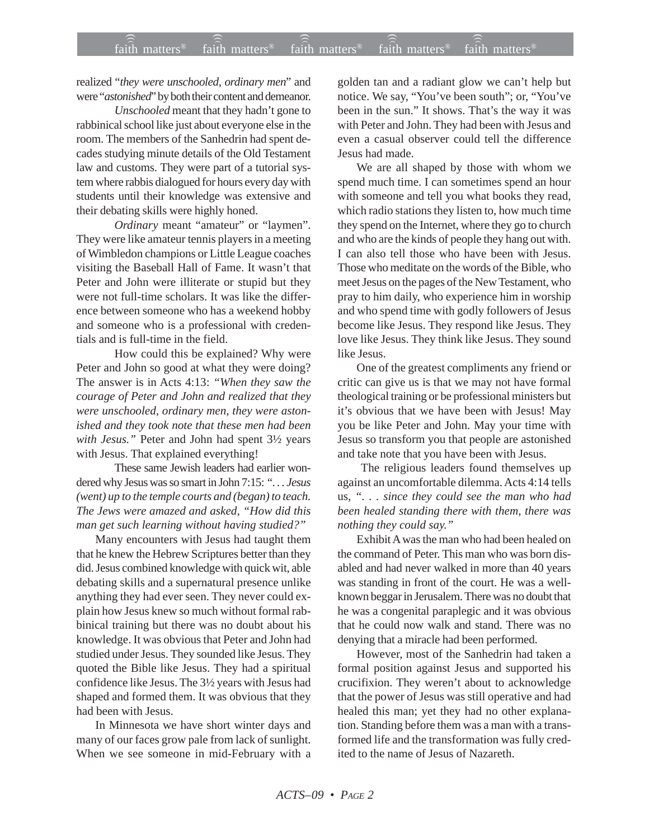realized "*they were unschooled, ordinary men*" and were "*astonished*" by both their content and demeanor.

*Unschooled* meant that they hadn't gone to rabbinical school like just about everyone else in the room. The members of the Sanhedrin had spent decades studying minute details of the Old Testament law and customs. They were part of a tutorial system where rabbis dialogued for hours every day with students until their knowledge was extensive and their debating skills were highly honed.

*Ordinary* meant "amateur" or "laymen". They were like amateur tennis players in a meeting of Wimbledon champions or Little League coaches visiting the Baseball Hall of Fame. It wasn't that Peter and John were illiterate or stupid but they were not full-time scholars. It was like the difference between someone who has a weekend hobby and someone who is a professional with credentials and is full-time in the field.

How could this be explained? Why were Peter and John so good at what they were doing? The answer is in Acts 4:13: *"When they saw the courage of Peter and John and realized that they were unschooled, ordinary men, they were astonished and they took note that these men had been with Jesus."* Peter and John had spent 3½ years with Jesus. That explained everything!

These same Jewish leaders had earlier wondered why Jesus was so smart in John 7:15: *". . . Jesus (went) up to the temple courts and (began) to teach. The Jews were amazed and asked, "How did this man get such learning without having studied?"*

Many encounters with Jesus had taught them that he knew the Hebrew Scriptures better than they did. Jesus combined knowledge with quick wit, able debating skills and a supernatural presence unlike anything they had ever seen. They never could explain how Jesus knew so much without formal rabbinical training but there was no doubt about his knowledge. It was obvious that Peter and John had studied under Jesus. They sounded like Jesus. They quoted the Bible like Jesus. They had a spiritual confidence like Jesus. The 3½ years with Jesus had shaped and formed them. It was obvious that they had been with Jesus.

In Minnesota we have short winter days and many of our faces grow pale from lack of sunlight. When we see someone in mid-February with a golden tan and a radiant glow we can't help but notice. We say, "You've been south"; or, "You've been in the sun." It shows. That's the way it was with Peter and John. They had been with Jesus and even a casual observer could tell the difference Jesus had made.

We are all shaped by those with whom we spend much time. I can sometimes spend an hour with someone and tell you what books they read, which radio stations they listen to, how much time they spend on the Internet, where they go to church and who are the kinds of people they hang out with. I can also tell those who have been with Jesus. Those who meditate on the words of the Bible, who meet Jesus on the pages of the New Testament, who pray to him daily, who experience him in worship and who spend time with godly followers of Jesus become like Jesus. They respond like Jesus. They love like Jesus. They think like Jesus. They sound like Jesus.

One of the greatest compliments any friend or critic can give us is that we may not have formal theological training or be professional ministers but it's obvious that we have been with Jesus! May you be like Peter and John. May your time with Jesus so transform you that people are astonished and take note that you have been with Jesus.

 The religious leaders found themselves up against an uncomfortable dilemma. Acts 4:14 tells us, *". . . since they could see the man who had been healed standing there with them, there was nothing they could say."*

Exhibit A was the man who had been healed on the command of Peter. This man who was born disabled and had never walked in more than 40 years was standing in front of the court. He was a wellknown beggar in Jerusalem. There was no doubt that he was a congenital paraplegic and it was obvious that he could now walk and stand. There was no denying that a miracle had been performed.

However, most of the Sanhedrin had taken a formal position against Jesus and supported his crucifixion. They weren't about to acknowledge that the power of Jesus was still operative and had healed this man; yet they had no other explanation. Standing before them was a man with a transformed life and the transformation was fully credited to the name of Jesus of Nazareth.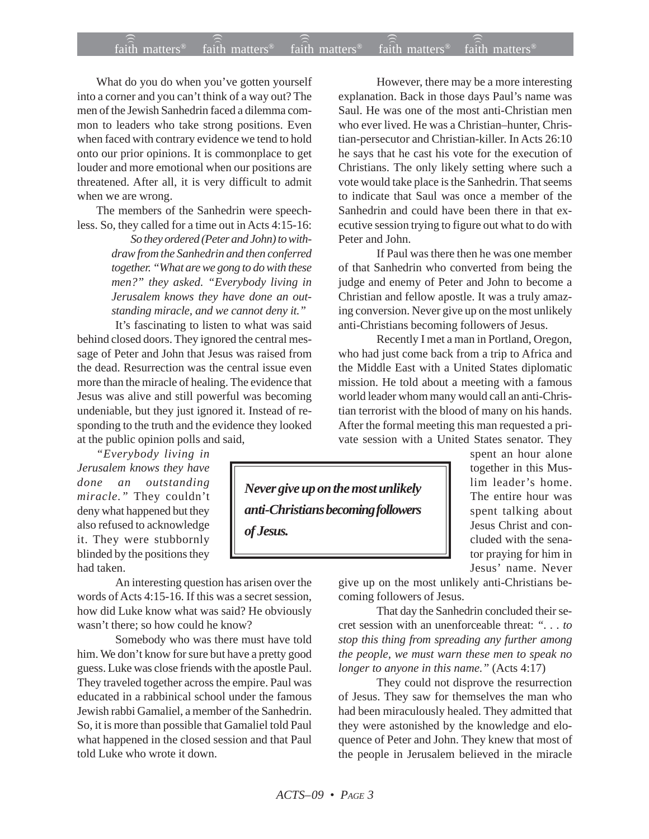## faith matters® faith matters® faith matters® faith matters® faith matters® ))) ))) ))) faith matters<sup>®</sup> faith matters<sup>®</sup>

What do you do when you've gotten yourself into a corner and you can't think of a way out? The men of the Jewish Sanhedrin faced a dilemma common to leaders who take strong positions. Even when faced with contrary evidence we tend to hold onto our prior opinions. It is commonplace to get louder and more emotional when our positions are threatened. After all, it is very difficult to admit when we are wrong.

The members of the Sanhedrin were speechless. So, they called for a time out in Acts 4:15-16:

> *So they ordered (Peter and John) to withdraw from the Sanhedrin and then conferred together. "What are we gong to do with these men?" they asked. "Everybody living in Jerusalem knows they have done an outstanding miracle, and we cannot deny it."*

It's fascinating to listen to what was said behind closed doors. They ignored the central message of Peter and John that Jesus was raised from the dead. Resurrection was the central issue even more than the miracle of healing. The evidence that Jesus was alive and still powerful was becoming undeniable, but they just ignored it. Instead of responding to the truth and the evidence they looked at the public opinion polls and said,

*"Everybody living in Jerusalem knows they have done an outstanding miracle."* They couldn't deny what happened but they also refused to acknowledge it. They were stubbornly blinded by the positions they had taken.

An interesting question has arisen over the words of Acts 4:15-16. If this was a secret session, how did Luke know what was said? He obviously wasn't there; so how could he know?

Somebody who was there must have told him. We don't know for sure but have a pretty good guess. Luke was close friends with the apostle Paul. They traveled together across the empire. Paul was educated in a rabbinical school under the famous Jewish rabbi Gamaliel, a member of the Sanhedrin. So, it is more than possible that Gamaliel told Paul what happened in the closed session and that Paul told Luke who wrote it down.

However, there may be a more interesting explanation. Back in those days Paul's name was Saul. He was one of the most anti-Christian men who ever lived. He was a Christian–hunter, Christian-persecutor and Christian-killer. In Acts 26:10 he says that he cast his vote for the execution of Christians. The only likely setting where such a vote would take place is the Sanhedrin. That seems to indicate that Saul was once a member of the Sanhedrin and could have been there in that executive session trying to figure out what to do with Peter and John.

If Paul was there then he was one member of that Sanhedrin who converted from being the judge and enemy of Peter and John to become a Christian and fellow apostle. It was a truly amazing conversion. Never give up on the most unlikely anti-Christians becoming followers of Jesus.

Recently I met a man in Portland, Oregon, who had just come back from a trip to Africa and the Middle East with a United States diplomatic mission. He told about a meeting with a famous world leader whom many would call an anti-Christian terrorist with the blood of many on his hands. After the formal meeting this man requested a private session with a United States senator. They

*Never give up on the most unlikely anti-Christians becoming followers of Jesus.*

spent an hour alone together in this Muslim leader's home. The entire hour was spent talking about Jesus Christ and concluded with the senator praying for him in Jesus' name. Never

give up on the most unlikely anti-Christians becoming followers of Jesus.

That day the Sanhedrin concluded their secret session with an unenforceable threat: *". . . to stop this thing from spreading any further among the people, we must warn these men to speak no longer to anyone in this name."* (Acts 4:17)

They could not disprove the resurrection of Jesus. They saw for themselves the man who had been miraculously healed. They admitted that they were astonished by the knowledge and eloquence of Peter and John. They knew that most of the people in Jerusalem believed in the miracle